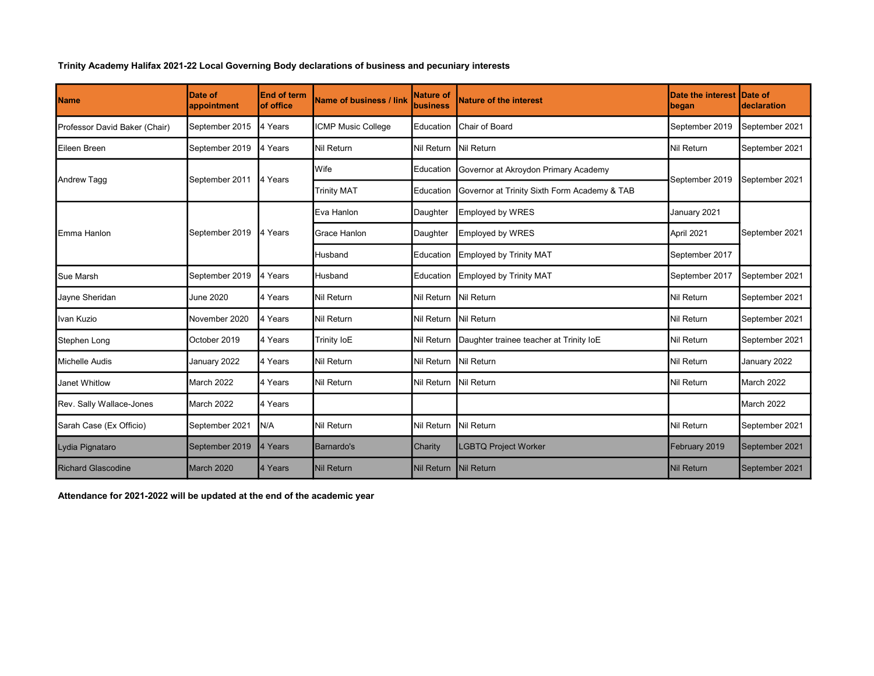Trinity Academy Halifax 2021-22 Local Governing Body declarations of business and pecuniary interests

| Name                          | Date of<br>appointment | <b>End of term</b><br>of office | <b>Name of business / link</b> | <b>Nature of</b><br><b>business</b> | Nature of the interest                       | <b>Date the interest</b><br>began | Date of<br>declaration |
|-------------------------------|------------------------|---------------------------------|--------------------------------|-------------------------------------|----------------------------------------------|-----------------------------------|------------------------|
| Professor David Baker (Chair) | September 2015         | 4 Years                         | <b>ICMP Music College</b>      | Education                           | Chair of Board                               | September 2019                    | September 2021         |
| Eileen Breen                  | September 2019         | 4 Years                         | <b>Nil Return</b>              | <b>Nil Return</b>                   | Nil Return                                   | Nil Return                        | September 2021         |
| Andrew Tagg                   | September 2011         | 4 Years                         | Wife                           | Education                           | Governor at Akroydon Primary Academy         | September 2019                    | September 2021         |
|                               |                        |                                 | <b>Trinity MAT</b>             | Education                           | Governor at Trinity Sixth Form Academy & TAB |                                   |                        |
| Emma Hanlon                   | September 2019         | 4 Years                         | Eva Hanlon                     | Daughter                            | <b>Employed by WRES</b>                      | January 2021                      | September 2021         |
|                               |                        |                                 | Grace Hanlon                   | Daughter                            | <b>Employed by WRES</b>                      | April 2021                        |                        |
|                               |                        |                                 | Husband                        | Education                           | <b>Employed by Trinity MAT</b>               | September 2017                    |                        |
| Sue Marsh                     | September 2019         | 4 Years                         | Husband                        | Education                           | <b>Employed by Trinity MAT</b>               | September 2017                    | September 2021         |
| Jayne Sheridan                | June 2020              | 4 Years                         | Nil Return                     | Nil Return                          | Nil Return                                   | Nil Return                        | September 2021         |
| Ilvan Kuzio                   | November 2020          | 4 Years                         | Nil Return                     | Nil Return                          | Nil Return                                   | Nil Return                        | September 2021         |
| Stephen Long                  | October 2019           | 4 Years                         | Trinity IoE                    | Nil Return                          | Daughter trainee teacher at Trinity IoE      | Nil Return                        | September 2021         |
| Michelle Audis                | January 2022           | 4 Years                         | <b>Nil Return</b>              | Nil Return                          | Nil Return                                   | Nil Return                        | January 2022           |
| Janet Whitlow                 | March 2022             | 4 Years                         | Nil Return                     | Nil Return                          | Nil Return                                   | Nil Return                        | March 2022             |
| Rev. Sally Wallace-Jones      | March 2022             | 4 Years                         |                                |                                     |                                              |                                   | <b>March 2022</b>      |
| Sarah Case (Ex Officio)       | September 2021         | N/A                             | <b>Nil Return</b>              | Nil Return                          | Nil Return                                   | Nil Return                        | September 2021         |
| Lydia Pignataro               | September 2019         | 4 Years                         | <b>Barnardo's</b>              | Charity                             | <b>LGBTQ Project Worker</b>                  | February 2019                     | September 2021         |
| <b>Richard Glascodine</b>     | March 2020             | 4 Years                         | <b>Nil Return</b>              | <b>Nil Return</b>                   | Nil Return                                   | <b>Nil Return</b>                 | September 2021         |

Attendance for 2021-2022 will be updated at the end of the academic year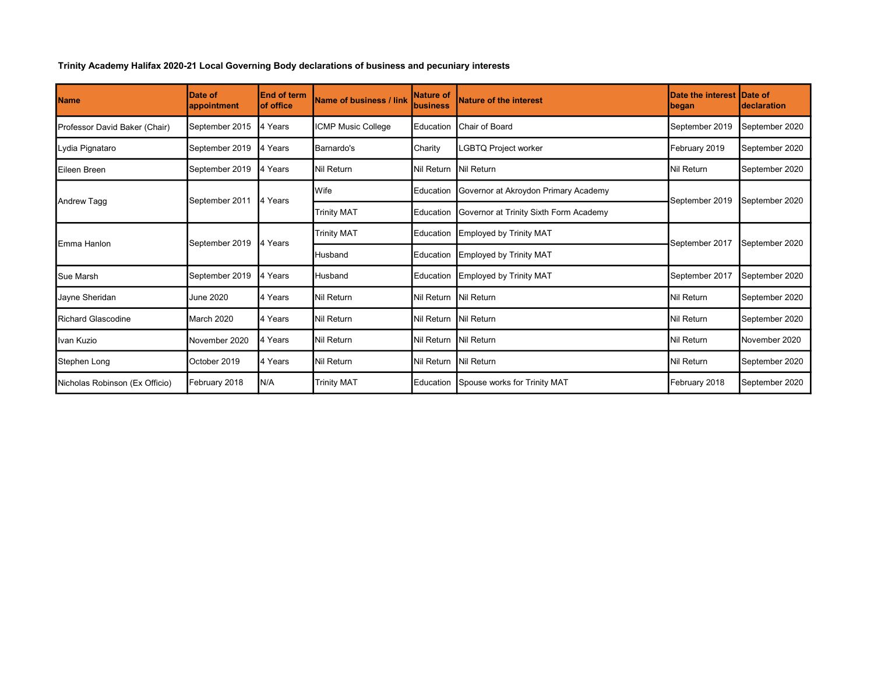Trinity Academy Halifax 2020-21 Local Governing Body declarations of business and pecuniary interests

| <b>Name</b>                    | Date of<br>appointment | <b>End of term</b><br><b>of office</b> | Name of business / link | <b>Nature of</b><br><b>business</b> | <b>Nature of the interest</b>          | <b>Date the interest</b><br><b> began</b> | <b>IDate of</b><br>declaration |
|--------------------------------|------------------------|----------------------------------------|-------------------------|-------------------------------------|----------------------------------------|-------------------------------------------|--------------------------------|
| Professor David Baker (Chair)  | September 2015         | 4 Years                                | ICMP Music College      | Education                           | <b>Chair of Board</b>                  | September 2019                            | September 2020                 |
| Lydia Pignataro                | September 2019         | 4 Years                                | Barnardo's              | Charity                             | <b>GBTQ Project worker</b>             | February 2019                             | September 2020                 |
| Eileen Breen                   | September 2019         | 4 Years                                | Nil Return              | Nil Return                          | Nil Return                             | Nil Return                                | September 2020                 |
| <b>Andrew Tagg</b>             | September 2011         | 4 Years                                | <b>Wife</b>             | Education                           | Governor at Akroydon Primary Academy   | September 2019                            | September 2020                 |
|                                |                        |                                        | <b>Trinity MAT</b>      | Education                           | Governor at Trinity Sixth Form Academy |                                           |                                |
| Emma Hanlon                    | September 2019         | 4 Years                                | <b>Trinity MAT</b>      | Education                           | Employed by Trinity MAT                | September 2017                            | September 2020                 |
|                                |                        |                                        | Husband                 | Education                           | Employed by Trinity MAT                |                                           |                                |
| <b>Sue Marsh</b>               | September 2019         | 4 Years                                | <b>Husband</b>          | Education                           | Employed by Trinity MAT                | September 2017                            | September 2020                 |
| Jayne Sheridan                 | <b>June 2020</b>       | 4 Years                                | Nil Return              | Nil Return                          | Nil Return                             | Nil Return                                | September 2020                 |
| <b>Richard Glascodine</b>      | <b>March 2020</b>      | 4 Years                                | Nil Return              | Nil Return                          | Nil Return                             | Nil Return                                | September 2020                 |
| Ivan Kuzio                     | November 2020          | 4 Years                                | Nil Return              | Nil Return                          | Nil Return                             | Nil Return                                | November 2020                  |
| Stephen Long                   | October 2019           | 4 Years                                | Nil Return              | Nil Return                          | Nil Return                             | Nil Return                                | September 2020                 |
| Nicholas Robinson (Ex Officio) | February 2018          | N/A                                    | <b>Trinity MAT</b>      | Education                           | Spouse works for Trinity MAT           | February 2018                             | September 2020                 |